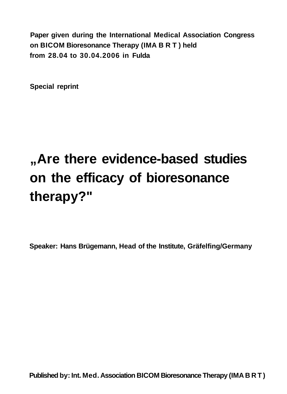**Paper given during the International Medical Association Congress on BICOM Bioresonance Therapy (IMA B R T ) held from 28.04 to 30.04.2006 in Fulda** 

**Special reprint** 

# **"Are there evidence-based studies on the efficacy of bioresonance therapy?"**

**Speaker: Hans Brügemann, Head of the Institute, Gräfelfing/Germany**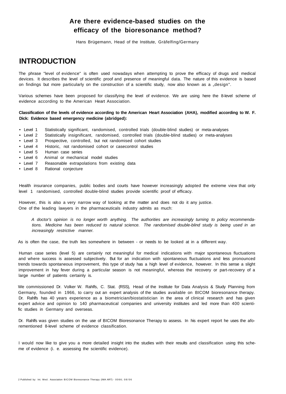## **Are there evidence-based studies on the efficacy of the bioresonance method?**

Hans Brügemann, Head of the Institute, Gräfelfing/Germany

# **INTRODUCTION**

The phrase "level of evidence" is often used nowadays when attempting to prove the efficacy of drugs and medical devices. It describes the level of scientific proof and presence of meaningful data. The nature of this evidence is based on findings but more particularly on the construction of a scientific study, now also known as a "design".

Various schemes have been proposed for classifying the level of evidence. We are using here the 8-level scheme of evidence according to the American Heart Association.

#### **Classification of the levels of evidence according to the American Heart Association (AHA), modified according to W. F. Dick: Evidence based emergency medicine (abridged):**

- Level 1 Statistically significant, randomised, controlled trials (double-blind studies) or meta-analyses
- Level 2 Statistically insignificant, randomised, controlled trials (double-blind studies) or meta-analyses
- Level 3 Prospective, controlled, but not randomised cohort studies
- Level 4 Historic, not randomised cohort or casecontrol studies
- Level 5 Human case series
- Level 6 Animal or mechanical model studies
- Level 7 Reasonable extrapolations from existing data
- Level 8 Rational conjecture

Health insurance companies, public bodies and courts have however increasingly adopted the extreme view that only level 1 randomised, controlled double-blind studies provide scientific proof of efficacy.

However, this is also a very narrow way of looking at the matter and does not do it any justice. One of the leading lawyers in the pharmaceuticals industry admits as much:

A doctor's opinion is no longer worth anything. The authorities are increasingly turning to policy recommendations. Medicine has been reduced to natural science. The randomised double-blind study is being used in an increasingly restrictive manner.

As is often the case, the truth lies somewhere in between - or needs to be looked at in a different way.

Human case series (level 5) are certainly not meaningful for medical indications with major spontaneous fluctuations and where success is assessed subjectively. But for an indication with spontaneous fluctuations and less pronounced trends towards spontaneous improvement, this type of study has a high level of evidence, however. In this sense a slight improvement in hay fever during a particular season is not meaningful, whereas the recovery or part-recovery of a large number of patients certainly is.

We commissioned Dr. Volker W. Rahlfs, C. Stat. (RSS), Head of the Institute for Data Analysis & Study Planning from Germany, founded in 1966, to carry out an expert analysis of the studies available on BICOM bioresonance therapy. Dr. Rahlfs has 40 years experience as a biometrician/biostatistician in the area of clinical research and has given expert advice and opinion to 140 pharmaceutical companies and university institutes and led more than 400 scientific studies in Germany and overseas.

Dr. Rahlfs was given studies on the use of BICOM Bioresonance Therapy to assess. In his expert report he uses the aforementioned 8-level scheme of evidence classification.

I would now like to give you a more detailed insight into the studies with their results and classification using this scheme of evidence (i. e. assessing the scientific evidence).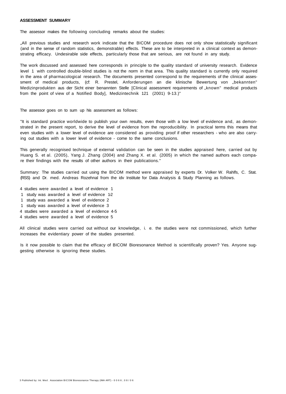#### **ASSESSMENT SUMMARY**

The assessor makes the following concluding remarks about the studies:

"All previous studies and research work indicate that the BICOM procedure does not only show statistically significant (and in the sense of random statistics, demonstrable) effects. These are to be interpreted in a clinical context as demonstrating efficacy. Undesirable side effects, particularly those that are serious, are not found in any study.

The work discussed and assessed here corresponds in principle to the quality standard of university research. Evidence level 1 with controlled double-blind studies is not the norm in that area. This quality standard is currently only required in the area of pharmacological research. The documents presented correspond to the requirements of the clinical assessment of medical products, (cf: R. Prestel, Anforderungen an die klinische Bewertung von "bekannten" Medizinprodukten aus der Sicht einer benannten Stelle [Clinical assessment requirements of "known" medical products from the point of view of a Notified Body], Medizintechnik 121 (2001) 9-13.)"

The assessor goes on to sum up his assessment as follows:

"It is standard practice worldwide to publish your own results, even those with a low level of evidence and, as demonstrated in the present report, to derive the level of evidence from the reproducibility. In practical terms this means that even studies with a lower level of evidence are considered as providing proof if other researchers - who are also carrying out studies with a lower level of evidence - come to the same conclusions.

This generally recognised technique of external validation can be seen in the studies appraised here, carried out by Huang S. et al. (2005), Yang J. Zhang (2004) and Zhang X. et al. (2005) in which the named authors each compare their findings with the results of other authors in their publications."

Summary: The studies carried out using the BICOM method were appraised by experts Dr. Volker W. Rahlfs, C. Stat. (RSS) and Dr. med. Andreas Rozehnal from the idv Institute for Data Analysis & Study Planning as follows.

- 4 studies were awarded a level of evidence 1
- 1 study was awarded a level of evidence 1-2
- 1 study was awarded a level of evidence 2
- 1 study was awarded a level of evidence 3
- 4 studies were awarded a level of evidence 4-5
- 4 studies were awarded a level of evidence 5

All clinical studies were carried out without our knowledge, i. e. the studies were not commissioned, which further increases the evidentiary power of the studies presented.

Is it now possible to claim that the efficacy of BICOM Bioresonance Method is scientifically proven? Yes. Anyone suggesting otherwise is ignoring these studies.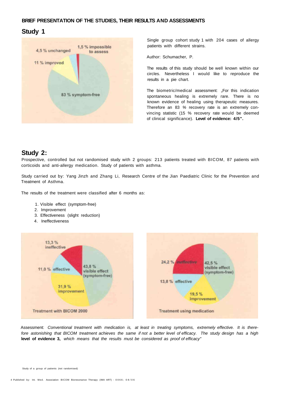#### **BRIEF PRESENTATION OF THE STUDIES, THEIR RESULTS AND ASSESSMENTS**

#### **Study 1**



Single group cohort study 1 with 204 cases of allergy patients with different strains.

Author: Schumacher, P.

The results of this study should be well known within our circles. Nevertheless I would like to reproduce the results in a pie chart.

The biometric/medical assessment: "For this indication spontaneous healing is extremely rare. There is no known evidence of healing using therapeutic measures. Therefore an 83 % recovery rate is an extremely convincing statistic (15 % recovery rate would be deemed of clinical significance). **Level of evidence: 4/5".** 

#### **Study 2:**

Prospective, controlled but not randomised study with 2 groups: 213 patients treated with BICOM, 87 patients with corticoids and anti-allergy medication. Study of patients with asthma.

Study carried out by: Yang Jinzh and Zhang Li, Research Centre of the Jian Paediatric Clinic for the Prevention and Treatment of Asthma.

The results of the treatment were classified after 6 months as:

- 1. Visible effect (symptom-free)
- 2. Improvement
- 3. Effectiveness (slight reduction)
- 4. Ineffectiveness



Assessment: Conventional treatment with medication is, at least in treating symptoms, extremely effective. It is therefore astonishing that BICOM treatment achieves the same if not a better level of efficacy. The study design has a high level of evidence 3, which means that the results must be considered as proof of efficacy"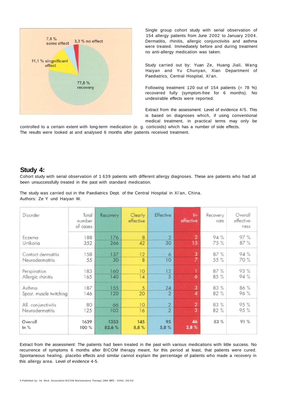

Single group cohort study with serial observation of 154 allergy patients from June 2002 to January 2004. Dermatitis, rhinitis, allergic conjunctivitis and asthma were treated. Immediately before and during treatment no anti-allergy medication was taken.

Study carried out by: Yuan Ze, Huang Jiali, Wang Haiyan and Yu Chunyan, Xian Department of Paediatrics, Central Hospital, Xi'an.

Following treatment 120 out of 154 patients  $(= 78 \%)$ recovered fully (symptom-free for 6 months). No undesirable effects were reported.

Extract from the assessment: Level of evidence 4/5. This is based on diagnoses which, if using conventional medical treatment, in practical terms may only be

controlled to a certain extent with long-term medication (e. g. corticoids) which has a number of side effects. The results were looked at and analysed 6 months after patients received treatment.

#### **Study 4:**

Cohort study with serial observation of 1 639 patients with different allergy diagnoses. These are patients who had all been unsuccessfully treated in the past with standard medication.

The study was carried out in the Paediatrics Dept. of the Central Hospital in Xi'an, China. Authors: Ze Y und Haiyan W.

| Disorder                | Total<br>number<br>of cases | Recovery       | <b>Clearly</b><br>effective | Effective      | $In-$<br>effective  | Recovery<br>rate | Overall<br>effective<br>ness |
|-------------------------|-----------------------------|----------------|-----------------------------|----------------|---------------------|------------------|------------------------------|
| Eczema                  | 188                         | 176            | 8                           | $\overline{2}$ | $\overline{2}$      | 94%              | 97%                          |
| Urtikaria               | 352                         | 266            | 42                          | 30             | 15                  | 75 %             | 87 %                         |
| Contact dermatitis      | 158                         | 137            | 12                          | 6              | 3                   | 87 %             | 94 %                         |
| Neurodermatitis         | 55                          | 30             | 8                           | 10             | $\overline{z}$      | 55 %             | 70 %                         |
| Perspiration            | 183                         | 160            | 10                          | 12             | $\ddot{\mathbf{6}}$ | 87 %             | 93 %                         |
| Allergic rhinitis       | 165                         | 140            | 14                          | 5              |                     | 85 %             | 94 %                         |
| Asthma                  | 187                         | 155            | 5                           | 24             | $\overline{3}$      | 83 %             | 86 %                         |
| Spast. muscle twitching | 146                         | 120            | 20                          | $\overline{2}$ | $\boldsymbol{A}$    | 82%              | 96 %                         |
| All. conjunctivitis     | 80                          | 66             | 10                          | $\overline{2}$ | $\overline{2}$      | 83 %             | 95 %                         |
| Neurodermatitis         | 125                         | 103            | 16                          | $\overline{2}$ | 3                   | 82 %             | 95 %                         |
| Overall<br>$ln \%$      | 1639<br>100%                | 1353<br>82,6 % | 145<br>8,8%                 | 95<br>5,8%     | 46<br>2,8%          | 83 %             | 91 %                         |

Extract from the assessment: The patients had been treated in the past with various medications with little success. No recurrence of symptoms 6 months after BICOM therapy meant, for this period at least, that patients were cured. Spontaneous healing, placebo effects and similar cannot explain the percentage of patients who made a recovery in this allergy area. Level of evidence 4-5.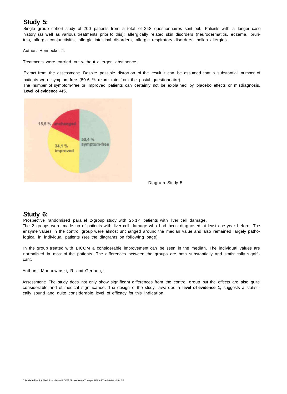## **Study 5:**

Single group cohort study of 200 patients from a total of 248 questionnaires sent out. Patients with a longer case history (as well as various treatments prior to this): allergically related skin disorders (neurodermatitis, eczema, pruritus), allergic conjunctivitis, allergic intestinal disorders, allergic respiratory disorders, pollen allergies.

Author: Hennecke, J.

Treatments were carried out without allergen abstinence.

Extract from the assessment: Despite possible distortion of the result it can be assumed that a substantial number of patients were symptom-free (80.6 % return rate from the postal questionnaire).

The number of symptom-free or improved patients can certainly not be explained by placebo effects or misdiagnosis. **Level of evidence 4/5.** 



Diagram Study 5

#### **Study 6:**

Prospective randomised parallel 2-group study with  $2 \times 14$  patients with liver cell damage.

The 2 groups were made up of patients with liver cell damage who had been diagnosed at least one year before. The enzyme values in the control group were almost unchanged around the median value and also remained largely pathological in individual patients (see the diagrams on following page).

In the group treated with BICOM a considerable improvement can be seen in the median. The individual values are normalised in most of the patients. The differences between the groups are both substantially and statistically significant.

Authors: Machowinski, R. and Gerlach, I.

Assessment: The study does not only show significant differences from the control group but the effects are also quite considerable and of medical significance. The design of the study, awarded a **level of evidence 1,** suggests a statistically sound and quite considerable level of efficacy for this indication.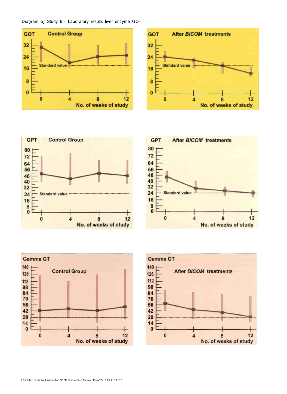#### Diagram a) Study 6 - Laboratory results liver enzyme GOT











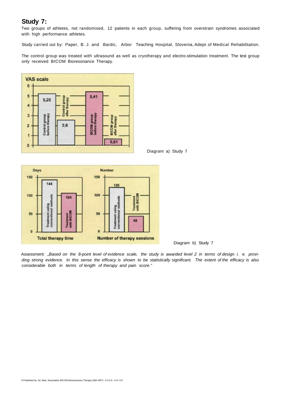#### **Study 7:**

Two groups of athletes, not randomised, 12 patients in each group, suffering from overstrain syndromes associated with high performance athletes.

Study carried out by: Paper, B. J. and Bardic, Arbor Teaching Hospital, Slovenia, Adept. of Medical Rehabilitation.

The control group was treated with ultrasound as well as cryotherapy and electro-stimulation treatment. The test group only received BICOM Bioresonance Therapy.



Diagram a) Study 7



Diagram b) Study 7

Assessment: "Based on the 8-point level of evidence scale, the study is awarded level 2 in terms of design i. e. providing strong evidence. In this sense the efficacy is shown to be statistically significant. The extent of the efficacy is also considerable both in terms of length of therapy and pain score."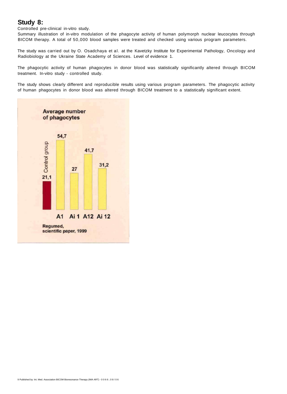## **Study 8:**

Controlled pre-clinical in-vitro study.

Summary illustration of in-vitro modulation of the phagocyte activity of human polymorph nuclear leucocytes through BICOM therapy. A total of 50,000 blood samples were treated and checked using various program parameters.

The study was carried out by O. Osadchaya et al. at the Kavetzky Institute for Experimental Pathology, Oncology and Radiobiology at the Ukraine State Academy of Sciences. Level of evidence 1.

The phagocytic activity of human phagocytes in donor blood was statistically significantly altered through BICOM treatment. In-vitro study - controlled study.

The study shows clearly different and reproducible results using various program parameters. The phagocytic activity of human phagocytes in donor blood was altered through BICOM treatment to a statistically significant extent.

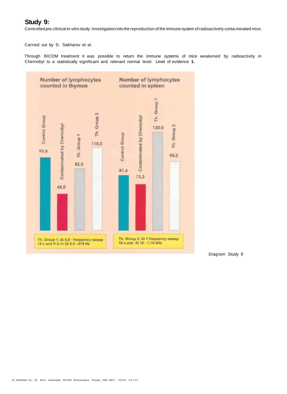## **Study 9:**

Controlled pre-clinical in-vitro study: investigation into the reproduction of the immune system of radioactively conta-minated mice.

Carried out by D. Sakharov et al.

Through BICOM treatment it was possible to return the immune systems of mice weakened by radioactivity in Chernobyl to a statistically significant and relevant normal level. Level of evidence **1.** 



Diagram Study 9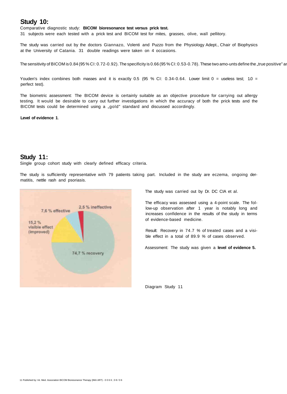#### **Study 10:**

Comparative diagnostic study: **BICOM bioresonance test versus prick test.** 

31 subjects were each tested with a prick test and BICOM test for mites, grasses, olive, wall pellitory.

The study was carried out by the doctors Giannazo, Volenti and Puzzo from the Physiology Adept., Chair of Biophysics at the University of Catania. 31 double readings were taken on 4 occasions.

The sensitivity of BICOM is 0.84 (95 % CI: 0.72-0.92). The specificity is 0.66 (95 % CI: 0.53-0.78). These two amo-unts define the "true positive" and The specifical cases.

Youden's index combines both masses and it is exactly 0.5 (95 % CI: 0.34-0.64. Lower limit  $0 =$  useless test; 1.0 = perfect test).

The biometric assessment: The BICOM device is certainly suitable as an objective procedure for carrying out allergy testing. It would be desirable to carry out further investigations in which the accuracy of both the prick tests and the BICOM tests could be determined using a "gold" standard and discussed accordingly.

**Level of evidence 1**.

#### **Study 11:**

Single group cohort study with clearly defined efficacy criteria.

The study is sufficiently representative with 79 patients taking part. Included in the study are eczema, ongoing dermatitis, nettle rash and psoriasis.



The study was carried out by Dr. DC CIA et al.

The efficacy was assessed using a 4-point scale. The follow-up observation after 1 year is notably long and increases confidence in the results of the study in terms of evidence-based medicine.

Result: Recovery in 74.7 % of treated cases and a visible effect in a total of 89.9 % of cases observed.

Assessment: The study was given a **level of evidence 5.** 

Diagram Study 11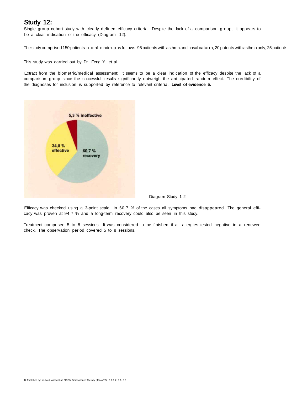#### **Study 12:**

Single group cohort study with clearly defined efficacy criteria. Despite the lack of a comparison group, it appears to be a clear indication of the efficacy (Diagram 12).

The study comprised 150 patients in total, made up as follows: 95 patients with asthma and nasal catarrh, 20 patents with asthma only, 25 patients

This study was carried out by Dr. Feng Y. et al.

Extract from the biometric/medical assessment: It seems to be a clear indication of the efficacy despite the lack of a comparison group since the successful results significantly outweigh the anticipated random effect. The credibility of the diagnoses for inclusion is supported by reference to relevant criteria. **Level of evidence 5.** 



Diagram Study 1 2

Efficacy was checked using a 3-point scale. In 60.7 % of the cases all symptoms had disappeared. The general efficacy was proven at 94.7 % and a long-term recovery could also be seen in this study.

Treatment comprised 5 to 8 sessions. It was considered to be finished if all allergies tested negative in a renewed check. The observation period covered 5 to 8 sessions.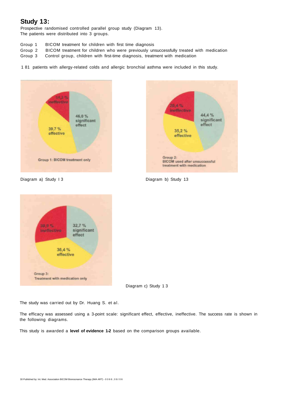## **Study 13:**

Prospective randomised controlled parallel group study (Diagram 13). The patients were distributed into 3 groups.

- Group 1 BICOM treatment for children with first time diagnosis
- Group 2 BICOM treatment for children who were previously unsuccessfully treated with medication
- Group 3 Control group, children with first-time diagnosis, treatment with medication
- 1 81 patients with allergy-related colds and allergic bronchial asthma were included in this study.







Diagram a) Study I 3 and 5 Diagram b) Study 13

Diagram c) Study 1 3

The study was carried out by Dr. Huang S. et al.

The efficacy was assessed using a 3-point scale: significant effect, effective, ineffective. The success rate is shown in the following diagrams.

This study is awarded a **level of evidence 1-2** based on the comparison groups available.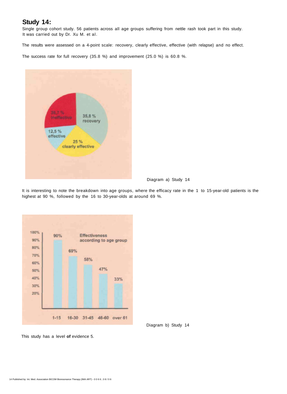### **Study 14:**

Single group cohort study. 56 patients across all age groups suffering from nettle rash took part in this study. It was carried out by Dr. Xu M. et al.

The results were assessed on a 4-point scale: recovery, clearly effective, effective (with relapse) and no effect.

The success rate for full recovery (35.8 %) and improvement (25.0 %) is 60.8 %.



Diagram a) Study 14

It is interesting to note the breakdown into age groups, where the efficacy rate in the 1 to 15-year-old patients is the highest at 90 %, followed by the 16 to 30-year-olds at around 69 %.



Diagram b) Study 14

This study has a level **of** evidence 5.